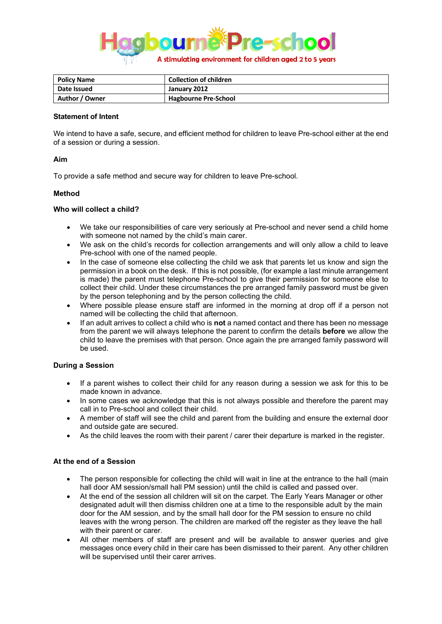

| <b>Policy Name</b> | <b>Collection of children</b> |
|--------------------|-------------------------------|
| Date Issued        | January 2012                  |
| Author / Owner     | <b>Hagbourne Pre-School</b>   |

#### **Statement of Intent**

We intend to have a safe, secure, and efficient method for children to leave Pre-school either at the end of a session or during a session.

## **Aim**

To provide a safe method and secure way for children to leave Pre-school.

## **Method**

## **Who will collect a child?**

- We take our responsibilities of care very seriously at Pre-school and never send a child home with someone not named by the child's main carer.
- We ask on the child's records for collection arrangements and will only allow a child to leave Pre-school with one of the named people.
- In the case of someone else collecting the child we ask that parents let us know and sign the permission in a book on the desk. If this is not possible, (for example a last minute arrangement is made) the parent must telephone Pre-school to give their permission for someone else to collect their child. Under these circumstances the pre arranged family password must be given by the person telephoning and by the person collecting the child.
- Where possible please ensure staff are informed in the morning at drop off if a person not named will be collecting the child that afternoon.
- If an adult arrives to collect a child who is **not** a named contact and there has been no message from the parent we will always telephone the parent to confirm the details **before** we allow the child to leave the premises with that person. Once again the pre arranged family password will be used.

# **During a Session**

- If a parent wishes to collect their child for any reason during a session we ask for this to be made known in advance.
- In some cases we acknowledge that this is not always possible and therefore the parent may call in to Pre-school and collect their child.
- A member of staff will see the child and parent from the building and ensure the external door and outside gate are secured.
- As the child leaves the room with their parent / carer their departure is marked in the register.

#### **At the end of a Session**

- The person responsible for collecting the child will wait in line at the entrance to the hall (main hall door AM session/small hall PM session) until the child is called and passed over.
- At the end of the session all children will sit on the carpet. The Early Years Manager or other designated adult will then dismiss children one at a time to the responsible adult by the main door for the AM session, and by the small hall door for the PM session to ensure no child leaves with the wrong person. The children are marked off the register as they leave the hall with their parent or carer.
- All other members of staff are present and will be available to answer queries and give messages once every child in their care has been dismissed to their parent. Any other children will be supervised until their carer arrives.